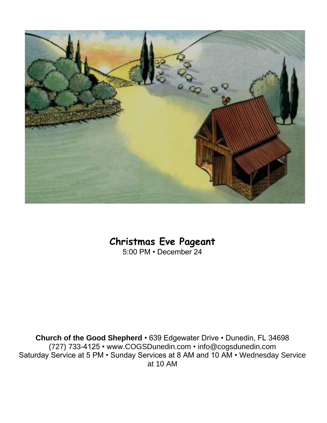

## **Christmas Eve Pageant**

5:00 PM • December 24

**Church of the Good Shepherd** • 639 Edgewater Drive • Dunedin, FL 34698 (727) 733-4125 • www.COGSDunedin.com • info@cogsdunedin.com Saturday Service at 5 PM • Sunday Services at 8 AM and 10 AM • Wednesday Service at 10 AM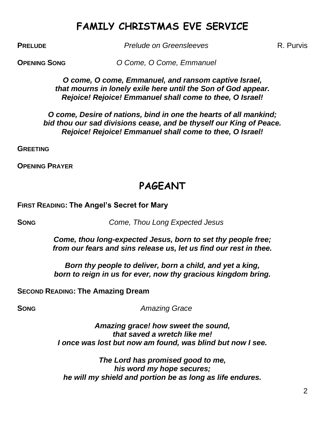## **FAMILY CHRISTMAS EVE SERVICE**

**PRELUDE** *Prelude on Greensleeves* R. Purvis

**OPENING SONG** *O Come, O Come, Emmanuel*

*O come, O come, Emmanuel, and ransom captive Israel, that mourns in lonely exile here until the Son of God appear. Rejoice! Rejoice! Emmanuel shall come to thee, O Israel!*

*O come, Desire of nations, bind in one the hearts of all mankind; bid thou our sad divisions cease, and be thyself our King of Peace. Rejoice! Rejoice! Emmanuel shall come to thee, O Israel!*

**GREETING**

**OPENING PRAYER**

## **PAGEANT**

**FIRST READING: The Angel's Secret for Mary**

**SONG** *Come, Thou Long Expected Jesus*

*Come, thou long-expected Jesus, born to set thy people free; from our fears and sins release us, let us find our rest in thee.*

*Born thy people to deliver, born a child, and yet a king, born to reign in us for ever, now thy gracious kingdom bring.*

**SECOND READING: The Amazing Dream**

**SONG** *Amazing Grace* 

*Amazing grace! how sweet the sound, that saved a wretch like me! I once was lost but now am found, was blind but now I see.*

*The Lord has promised good to me, his word my hope secures; he will my shield and portion be as long as life endures.*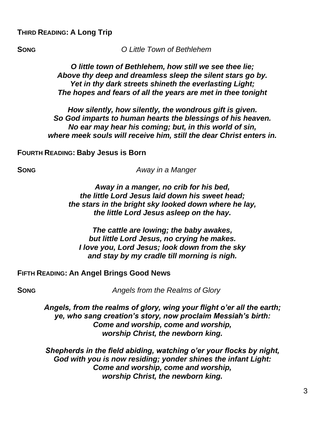**SONG** *O Little Town of Bethlehem*

### *O little town of Bethlehem, how still we see thee lie; Above thy deep and dreamless sleep the silent stars go by. Yet in thy dark streets shineth the everlasting Light; The hopes and fears of all the years are met in thee tonight*

*How silently, how silently, the wondrous gift is given. So God imparts to human hearts the blessings of his heaven. No ear may hear his coming; but, in this world of sin, where meek souls will receive him, still the dear Christ enters in.*

**FOURTH READING: Baby Jesus is Born**

**SONG** *Away in a Manger*

*Away in a manger, no crib for his bed, the little Lord Jesus laid down his sweet head; the stars in the bright sky looked down where he lay, the little Lord Jesus asleep on the hay.*

*The cattle are lowing; the baby awakes, but little Lord Jesus, no crying he makes. I love you, Lord Jesus; look down from the sky and stay by my cradle till morning is nigh.*

**FIFTH READING: An Angel Brings Good News**

**SONG** *Angels from the Realms of Glory*

*Angels, from the realms of glory, wing your flight o'er all the earth; ye, who sang creation's story, now proclaim Messiah's birth: Come and worship, come and worship, worship Christ, the newborn king.*

*Shepherds in the field abiding, watching o'er your flocks by night, God with you is now residing; yonder shines the infant Light: Come and worship, come and worship, worship Christ, the newborn king.*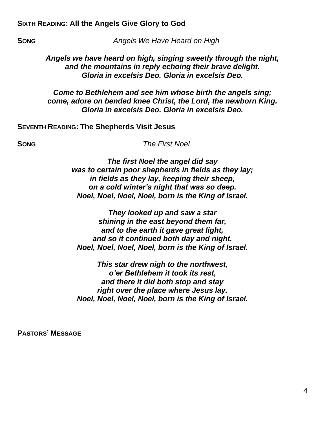### **SIXTH READING: All the Angels Give Glory to God**

**SONG** *Angels We Have Heard on High*

*Angels we have heard on high, singing sweetly through the night, and the mountains in reply echoing their brave delight. Gloria in excelsis Deo. Gloria in excelsis Deo.*

*Come to Bethlehem and see him whose birth the angels sing; come, adore on bended knee Christ, the Lord, the newborn King. Gloria in excelsis Deo. Gloria in excelsis Deo.*

### **SEVENTH READING: The Shepherds Visit Jesus**

**SONG** *The First Noel*

*The first Noel the angel did say was to certain poor shepherds in fields as they lay; in fields as they lay, keeping their sheep, on a cold winter's night that was so deep. Noel, Noel, Noel, Noel, born is the King of Israel.*

*They looked up and saw a star shining in the east beyond them far, and to the earth it gave great light, and so it continued both day and night. Noel, Noel, Noel, Noel, born is the King of Israel.*

*This star drew nigh to the northwest, o'er Bethlehem it took its rest, and there it did both stop and stay right over the place where Jesus lay. Noel, Noel, Noel, Noel, born is the King of Israel.*

**PASTORS' MESSAGE**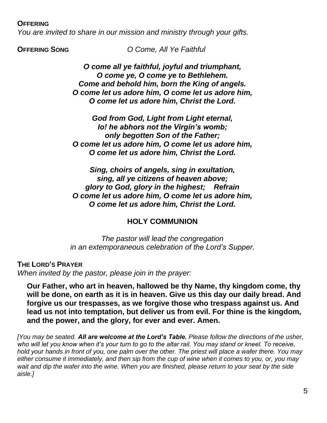### **OFFERING**

*You are invited to share in our mission and ministry through your gifts.*

**OFFERING SONG** *O Come, All Ye Faithful*

*O come all ye faithful, joyful and triumphant, O come ye, O come ye to Bethlehem. Come and behold him, born the King of angels. O come let us adore him, O come let us adore him, O come let us adore him, Christ the Lord.*

*God from God, Light from Light eternal, lo! he abhors not the Virgin's womb; only begotten Son of the Father; O come let us adore him, O come let us adore him, O come let us adore him, Christ the Lord.*

*Sing, choirs of angels, sing in exultation, sing, all ye citizens of heaven above; glory to God, glory in the highest; Refrain O come let us adore him, O come let us adore him, O come let us adore him, Christ the Lord.*

### **HOLY COMMUNION**

*The pastor will lead the congregation in an extemporaneous celebration of the Lord's Supper.*

**THE LORD'S PRAYER** *When invited by the pastor, please join in the prayer:*

**Our Father, who art in heaven, hallowed be thy Name, thy kingdom come, thy will be done, on earth as it is in heaven. Give us this day our daily bread. And forgive us our trespasses, as we forgive those who trespass against us. And lead us not into temptation, but deliver us from evil. For thine is the kingdom, and the power, and the glory, for ever and ever. Amen.**

*[You may be seated. All are welcome at the Lord's Table. Please follow the directions of the usher,*  who will let you know when it's your turn to go to the altar rail. You may stand or kneel. To receive, *hold your hands in front of you, one palm over the other. The priest will place a wafer there. You may either consume it immediately, and then sip from the cup of wine when it comes to you, or, you may wait and dip the wafer into the wine. When you are finished, please return to your seat by the side aisle.]*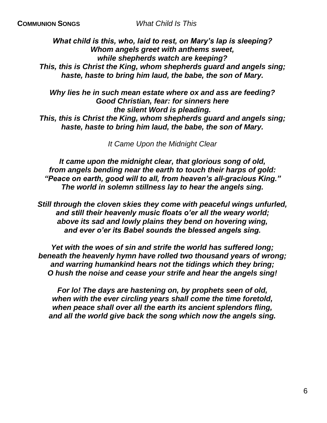*What child is this, who, laid to rest, on Mary's lap is sleeping? Whom angels greet with anthems sweet, while shepherds watch are keeping? This, this is Christ the King, whom shepherds guard and angels sing; haste, haste to bring him laud, the babe, the son of Mary.*

*Why lies he in such mean estate where ox and ass are feeding? Good Christian, fear: for sinners here the silent Word is pleading. This, this is Christ the King, whom shepherds guard and angels sing; haste, haste to bring him laud, the babe, the son of Mary.*

*It Came Upon the Midnight Clear*

*It came upon the midnight clear, that glorious song of old, from angels bending near the earth to touch their harps of gold: "Peace on earth, good will to all, from heaven's all-gracious King." The world in solemn stillness lay to hear the angels sing.*

*Still through the cloven skies they come with peaceful wings unfurled, and still their heavenly music floats o'er all the weary world; above its sad and lowly plains they bend on hovering wing, and ever o'er its Babel sounds the blessed angels sing.*

*Yet with the woes of sin and strife the world has suffered long; beneath the heavenly hymn have rolled two thousand years of wrong; and warring humankind hears not the tidings which they bring; O hush the noise and cease your strife and hear the angels sing!*

*For lo! The days are hastening on, by prophets seen of old, when with the ever circling years shall come the time foretold, when peace shall over all the earth its ancient splendors fling, and all the world give back the song which now the angels sing.*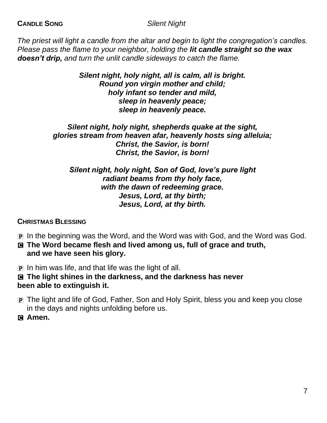*The priest will light a candle from the altar and begin to light the congregation's candles. Please pass the flame to your neighbor, holding the lit candle straight so the wax doesn't drip, and turn the unlit candle sideways to catch the flame.*

> *Silent night, holy night, all is calm, all is bright. Round yon virgin mother and child; holy infant so tender and mild, sleep in heavenly peace; sleep in heavenly peace.*

*Silent night, holy night, shepherds quake at the sight, glories stream from heaven afar, heavenly hosts sing alleluia; Christ, the Savior, is born! Christ, the Savior, is born!*

*Silent night, holy night, Son of God, love's pure light radiant beams from thy holy face, with the dawn of redeeming grace. Jesus, Lord, at thy birth; Jesus, Lord, at thy birth.*

### **CHRISTMAS BLESSING**

- P In the beginning was the Word, and the Word was with God, and the Word was God.
- C **The Word became flesh and lived among us, full of grace and truth, and we have seen his glory.**

P In him was life, and that life was the light of all.

C **The light shines in the darkness, and the darkness has never been able to extinguish it.**

- P The light and life of God, Father, Son and Holy Spirit, bless you and keep you close in the days and nights unfolding before us.
- C **Amen.**